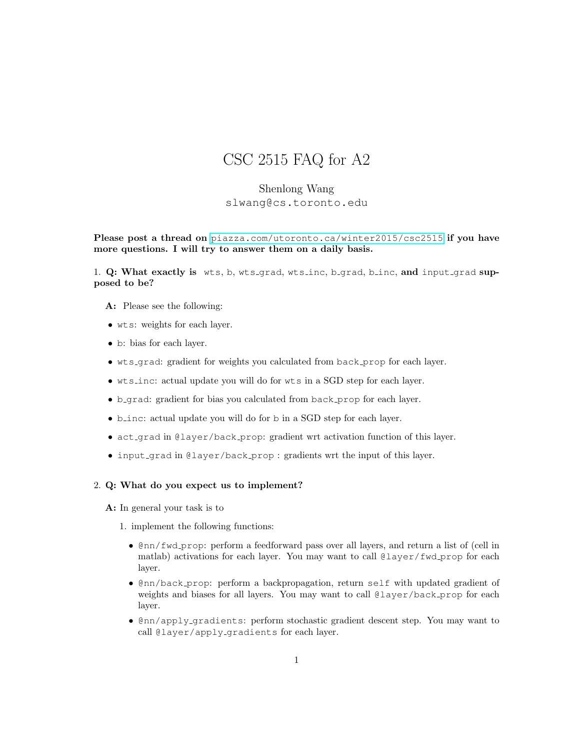## CSC 2515 FAQ for A2

## Shenlong Wang slwang@cs.toronto.edu

Please post a thread on <piazza.com/utoronto.ca/winter2015/csc2515> if you have more questions. I will try to answer them on a daily basis.

1. Q: What exactly is wts, b, wts grad, wts inc, b grad, b inc, and input grad supposed to be?

- A: Please see the following:
- wts: weights for each layer.
- b: bias for each layer.
- wts grad: gradient for weights you calculated from back prop for each layer.
- wts inc: actual update you will do for wts in a SGD step for each layer.
- b grad: gradient for bias you calculated from back prop for each layer.
- b\_inc: actual update you will do for b in a SGD step for each layer.
- act grad in @layer/back prop: gradient wrt activation function of this layer.
- input grad in @layer/back prop : gradients wrt the input of this layer.

## 2. Q: What do you expect us to implement?

A: In general your task is to

- 1. implement the following functions:
	- @nn/fwd prop: perform a feedforward pass over all layers, and return a list of (cell in matlab) activations for each layer. You may want to call @layer/fwd prop for each layer.
	- @nn/back prop: perform a backpropagation, return self with updated gradient of weights and biases for all layers. You may want to call @layer/back\_prop for each layer.
	- @nn/apply gradients: perform stochastic gradient descent step. You may want to call @layer/apply\_gradients for each layer.